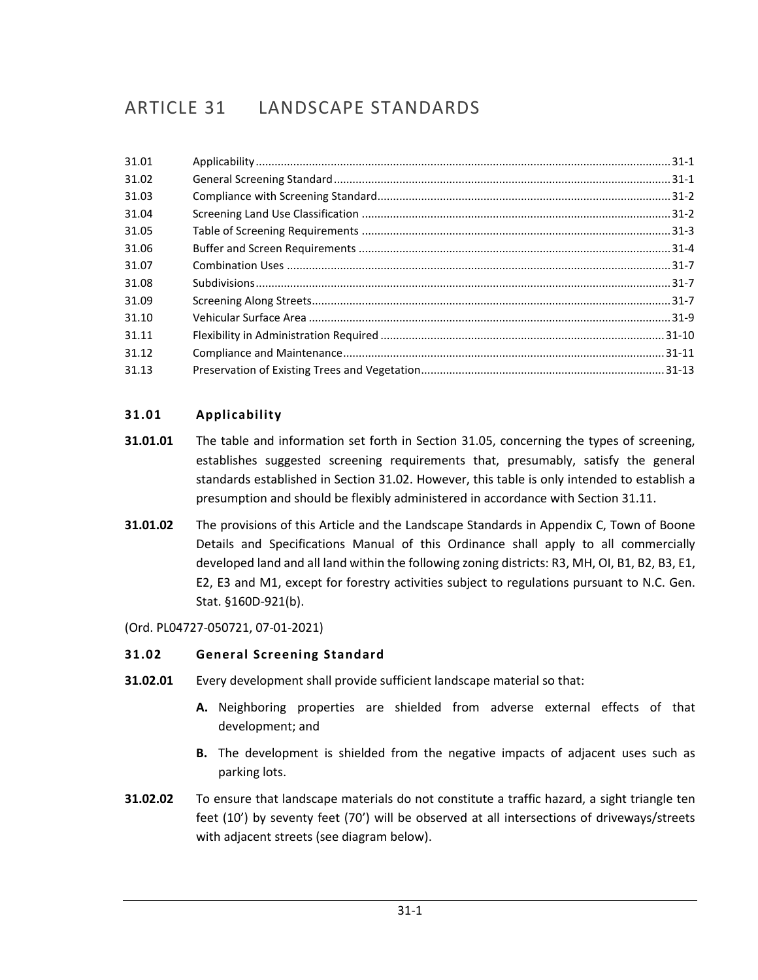# ARTICLE 31 LANDSCAPE STANDARDS

# <span id="page-0-0"></span>**31.01 Applicability**

- **31.01.01** The table and information set forth in Section 31.05, concerning the types of screening, establishes suggested screening requirements that, presumably, satisfy the general standards established in Section 31.02. However, this table is only intended to establish a presumption and should be flexibly administered in accordance with Section 31.11.
- **31.01.02** The provisions of this Article and the Landscape Standards in Appendix C, Town of Boone Details and Specifications Manual of this Ordinance shall apply to all commercially developed land and all land within the following zoning districts: R3, MH, OI, B1, B2, B3, E1, E2, E3 and M1, except for forestry activities subject to regulations pursuant to N.C. Gen. Stat. §160D-921(b).

(Ord. PL04727-050721, 07-01-2021)

# <span id="page-0-1"></span>**31.02 General Screening Standard**

- **31.02.01** Every development shall provide sufficient landscape material so that:
	- **A.** Neighboring properties are shielded from adverse external effects of that development; and
	- **B.** The development is shielded from the negative impacts of adjacent uses such as parking lots.
- **31.02.02** To ensure that landscape materials do not constitute a traffic hazard, a sight triangle ten feet (10') by seventy feet (70') will be observed at all intersections of driveways/streets with adjacent streets (see diagram below).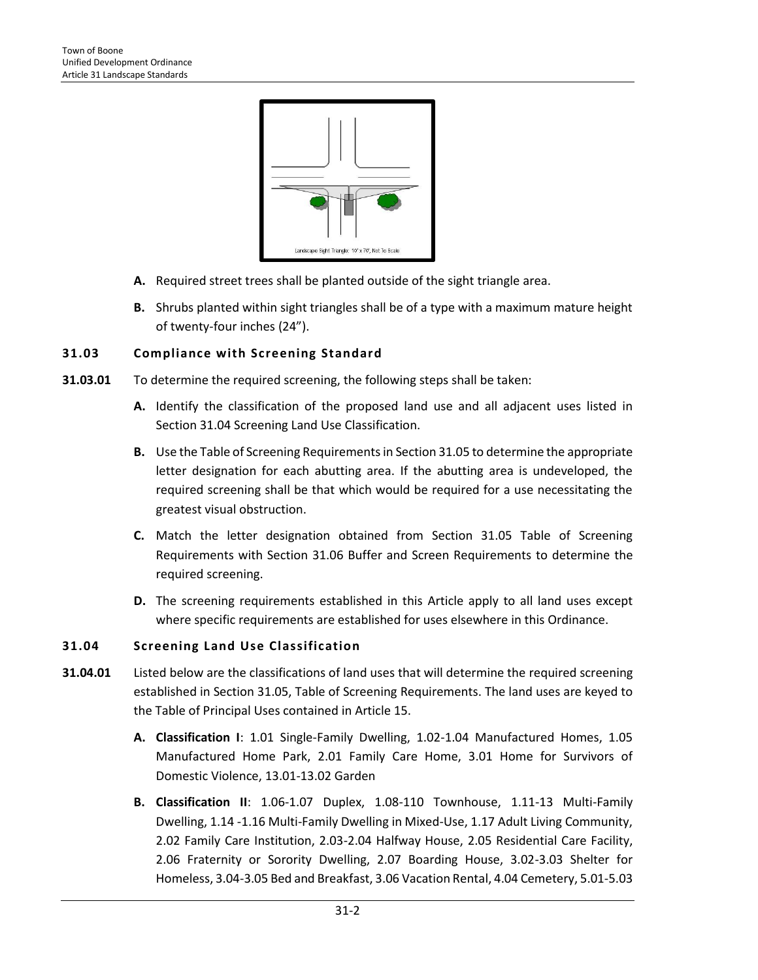

- **A.** Required street trees shall be planted outside of the sight triangle area.
- **B.** Shrubs planted within sight triangles shall be of a type with a maximum mature height of twenty-four inches (24").

#### <span id="page-1-0"></span>**31.03 Compliance with Screening Standard**

- **31.03.01** To determine the required screening, the following steps shall be taken:
	- **A.** Identify the classification of the proposed land use and all adjacent uses listed in Section 31.04 Screening Land Use Classification.
	- **B.** Use the Table of Screening Requirements in Section 31.05 to determine the appropriate letter designation for each abutting area. If the abutting area is undeveloped, the required screening shall be that which would be required for a use necessitating the greatest visual obstruction.
	- **C.** Match the letter designation obtained from Section 31.05 Table of Screening Requirements with Section 31.06 Buffer and Screen Requirements to determine the required screening.
	- **D.** The screening requirements established in this Article apply to all land uses except where specific requirements are established for uses elsewhere in this Ordinance.

#### <span id="page-1-1"></span>**31.04 Screening Land Use Classification**

- **31.04.01** Listed below are the classifications of land uses that will determine the required screening established in Section 31.05, Table of Screening Requirements. The land uses are keyed to the Table of Principal Uses contained in Article 15.
	- **A. Classification I**: 1.01 Single-Family Dwelling, 1.02-1.04 Manufactured Homes, 1.05 Manufactured Home Park, 2.01 Family Care Home, 3.01 Home for Survivors of Domestic Violence, 13.01-13.02 Garden
	- **B. Classification II**: 1.06-1.07 Duplex, 1.08-110 Townhouse, 1.11-13 Multi-Family Dwelling, 1.14 -1.16 Multi-Family Dwelling in Mixed-Use, 1.17 Adult Living Community, 2.02 Family Care Institution, 2.03-2.04 Halfway House, 2.05 Residential Care Facility, 2.06 Fraternity or Sorority Dwelling, 2.07 Boarding House, 3.02-3.03 Shelter for Homeless, 3.04-3.05 Bed and Breakfast, 3.06 Vacation Rental, 4.04 Cemetery, 5.01-5.03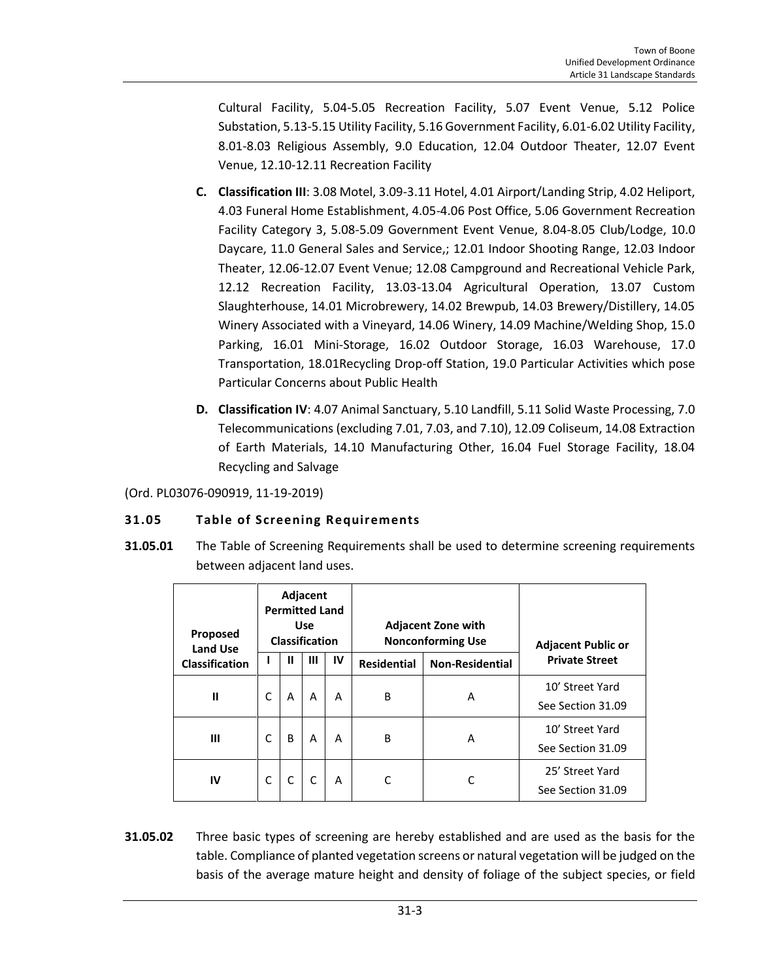Cultural Facility, 5.04-5.05 Recreation Facility, 5.07 Event Venue, 5.12 Police Substation, 5.13-5.15 Utility Facility, 5.16 Government Facility, 6.01-6.02 Utility Facility, 8.01-8.03 Religious Assembly, 9.0 Education, 12.04 Outdoor Theater, 12.07 Event Venue, 12.10-12.11 Recreation Facility

- **C. Classification III**: 3.08 Motel, 3.09-3.11 Hotel, 4.01 Airport/Landing Strip, 4.02 Heliport, 4.03 Funeral Home Establishment, 4.05-4.06 Post Office, 5.06 Government Recreation Facility Category 3, 5.08-5.09 Government Event Venue, 8.04-8.05 Club/Lodge, 10.0 Daycare, 11.0 General Sales and Service,; 12.01 Indoor Shooting Range, 12.03 Indoor Theater, 12.06-12.07 Event Venue; 12.08 Campground and Recreational Vehicle Park, 12.12 Recreation Facility, 13.03-13.04 Agricultural Operation, 13.07 Custom Slaughterhouse, 14.01 Microbrewery, 14.02 Brewpub, 14.03 Brewery/Distillery, 14.05 Winery Associated with a Vineyard, 14.06 Winery, 14.09 Machine/Welding Shop, 15.0 Parking, 16.01 Mini-Storage, 16.02 Outdoor Storage, 16.03 Warehouse, 17.0 Transportation, 18.01Recycling Drop-off Station, 19.0 Particular Activities which pose Particular Concerns about Public Health
- **D. Classification IV**: 4.07 Animal Sanctuary, 5.10 Landfill, 5.11 Solid Waste Processing, 7.0 Telecommunications (excluding 7.01, 7.03, and 7.10), 12.09 Coliseum, 14.08 Extraction of Earth Materials, 14.10 Manufacturing Other, 16.04 Fuel Storage Facility, 18.04 Recycling and Salvage

(Ord. PL03076-090919, 11-19-2019)

# <span id="page-2-0"></span>**31.05 Table of Screening Requirements**

**31.05.01** The Table of Screening Requirements shall be used to determine screening requirements between adjacent land uses.

| Proposed<br><b>Land Use</b> | Adjacent<br><b>Permitted Land</b><br><b>Use</b><br><b>Classification</b> |   |   |    | <b>Adjacent Zone with</b><br><b>Nonconforming Use</b> |                        | <b>Adjacent Public or</b>            |  |
|-----------------------------|--------------------------------------------------------------------------|---|---|----|-------------------------------------------------------|------------------------|--------------------------------------|--|
| Classification              |                                                                          | Ш | Ш | IV | <b>Residential</b>                                    | <b>Non-Residential</b> | <b>Private Street</b>                |  |
| $\mathbf{I}$                |                                                                          | A | A | А  | B                                                     | A                      | 10' Street Yard<br>See Section 31.09 |  |
| Ш                           |                                                                          | B | A | А  | B                                                     | A                      | 10' Street Yard<br>See Section 31.09 |  |
| IV                          | C                                                                        | C | C | A  | C                                                     | C                      | 25' Street Yard<br>See Section 31.09 |  |

**31.05.02** Three basic types of screening are hereby established and are used as the basis for the table. Compliance of planted vegetation screens or natural vegetation will be judged on the basis of the average mature height and density of foliage of the subject species, or field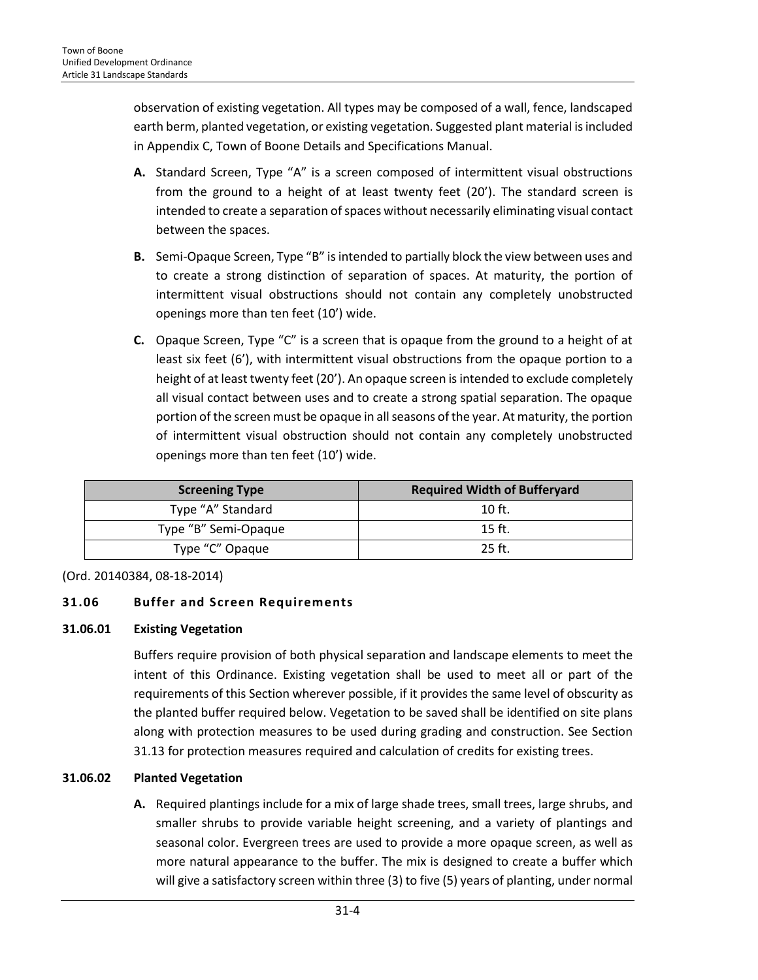observation of existing vegetation. All types may be composed of a wall, fence, landscaped earth berm, planted vegetation, or existing vegetation. Suggested plant material is included in Appendix C, Town of Boone Details and Specifications Manual.

- **A.** Standard Screen, Type "A" is a screen composed of intermittent visual obstructions from the ground to a height of at least twenty feet (20'). The standard screen is intended to create a separation of spaces without necessarily eliminating visual contact between the spaces.
- **B.** Semi-Opaque Screen, Type "B" is intended to partially block the view between uses and to create a strong distinction of separation of spaces. At maturity, the portion of intermittent visual obstructions should not contain any completely unobstructed openings more than ten feet (10') wide.
- **C.** Opaque Screen, Type "C" is a screen that is opaque from the ground to a height of at least six feet (6'), with intermittent visual obstructions from the opaque portion to a height of at least twenty feet (20'). An opaque screen is intended to exclude completely all visual contact between uses and to create a strong spatial separation. The opaque portion of the screen must be opaque in all seasons of the year. At maturity, the portion of intermittent visual obstruction should not contain any completely unobstructed openings more than ten feet (10') wide.

| <b>Screening Type</b> | <b>Required Width of Bufferyard</b> |  |  |
|-----------------------|-------------------------------------|--|--|
| Type "A" Standard     | $10$ ft.                            |  |  |
| Type "B" Semi-Opaque  | 15 ft.                              |  |  |
| Type "C" Opaque       | $25$ ft.                            |  |  |

(Ord. 20140384, 08-18-2014)

# <span id="page-3-0"></span>**31.06 Buffer and Screen Requirements**

# **31.06.01 Existing Vegetation**

Buffers require provision of both physical separation and landscape elements to meet the intent of this Ordinance. Existing vegetation shall be used to meet all or part of the requirements of this Section wherever possible, if it provides the same level of obscurity as the planted buffer required below. Vegetation to be saved shall be identified on site plans along with protection measures to be used during grading and construction. See Section 31.13 for protection measures required and calculation of credits for existing trees.

# **31.06.02 Planted Vegetation**

**A.** Required plantings include for a mix of large shade trees, small trees, large shrubs, and smaller shrubs to provide variable height screening, and a variety of plantings and seasonal color. Evergreen trees are used to provide a more opaque screen, as well as more natural appearance to the buffer. The mix is designed to create a buffer which will give a satisfactory screen within three (3) to five (5) years of planting, under normal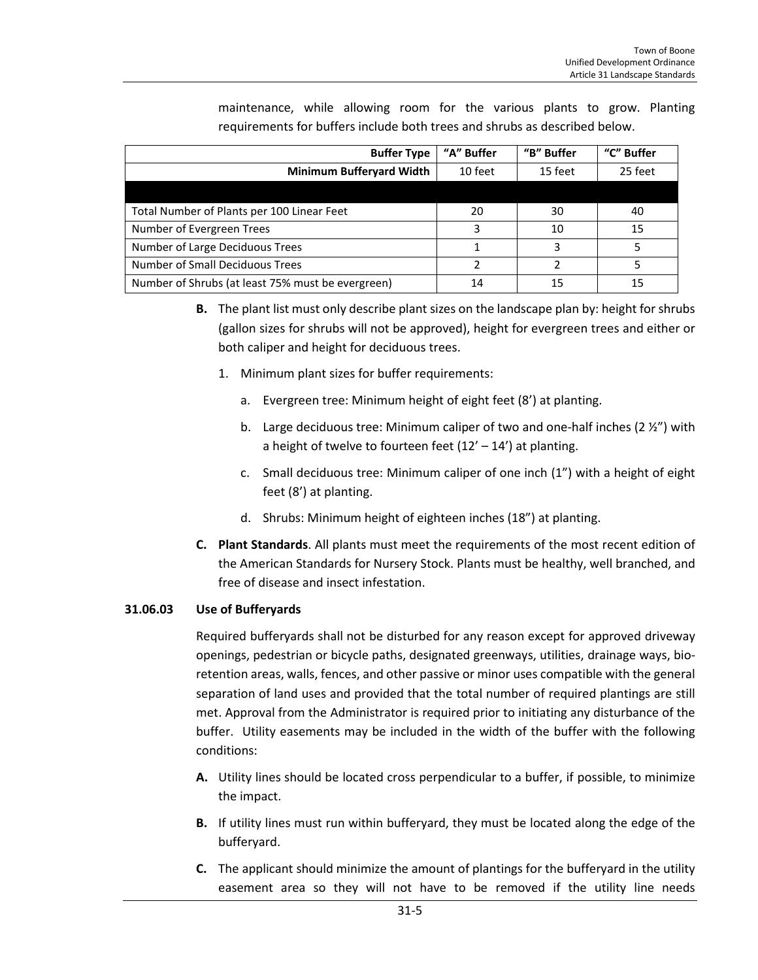| <b>Buffer Type</b>                                | "A" Buffer | "B" Buffer | "C" Buffer |
|---------------------------------------------------|------------|------------|------------|
| Minimum Bufferyard Width                          | 10 feet    | 15 feet    | 25 feet    |
|                                                   |            |            |            |
| Total Number of Plants per 100 Linear Feet        | 20         | 30         | 40         |
| Number of Evergreen Trees                         | 3          | 10         | 15         |
| Number of Large Deciduous Trees                   |            | ς          |            |
| <b>Number of Small Deciduous Trees</b>            | C.         | 2          |            |
| Number of Shrubs (at least 75% must be evergreen) | 14         | 15         | 15         |

maintenance, while allowing room for the various plants to grow. Planting requirements for buffers include both trees and shrubs as described below.

- **B.** The plant list must only describe plant sizes on the landscape plan by: height for shrubs (gallon sizes for shrubs will not be approved), height for evergreen trees and either or both caliper and height for deciduous trees.
	- 1. Minimum plant sizes for buffer requirements:
		- a. Evergreen tree: Minimum height of eight feet (8') at planting.
		- b. Large deciduous tree: Minimum caliper of two and one-half inches (2 ½") with a height of twelve to fourteen feet  $(12' - 14')$  at planting.
		- c. Small deciduous tree: Minimum caliper of one inch (1") with a height of eight feet (8') at planting.
		- d. Shrubs: Minimum height of eighteen inches (18") at planting.
- **C. Plant Standards**. All plants must meet the requirements of the most recent edition of the American Standards for Nursery Stock. Plants must be healthy, well branched, and free of disease and insect infestation.

# **31.06.03 Use of Bufferyards**

Required bufferyards shall not be disturbed for any reason except for approved driveway openings, pedestrian or bicycle paths, designated greenways, utilities, drainage ways, bioretention areas, walls, fences, and other passive or minor uses compatible with the general separation of land uses and provided that the total number of required plantings are still met. Approval from the Administrator is required prior to initiating any disturbance of the buffer. Utility easements may be included in the width of the buffer with the following conditions:

- **A.** Utility lines should be located cross perpendicular to a buffer, if possible, to minimize the impact.
- **B.** If utility lines must run within bufferyard, they must be located along the edge of the bufferyard.
- **C.** The applicant should minimize the amount of plantings for the bufferyard in the utility easement area so they will not have to be removed if the utility line needs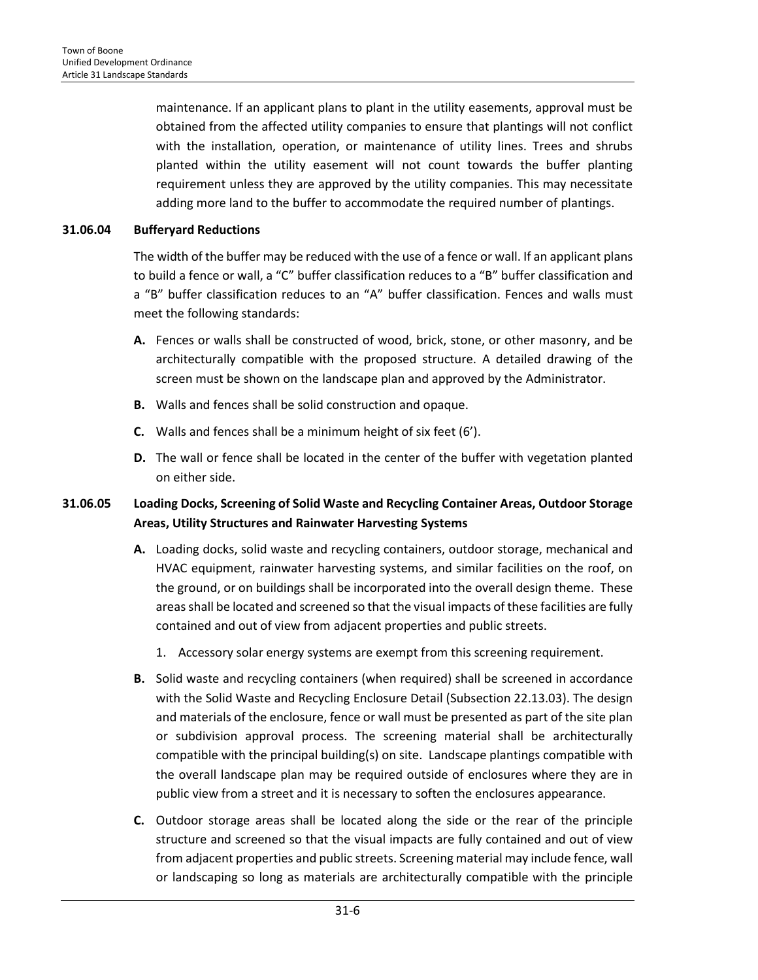maintenance. If an applicant plans to plant in the utility easements, approval must be obtained from the affected utility companies to ensure that plantings will not conflict with the installation, operation, or maintenance of utility lines. Trees and shrubs planted within the utility easement will not count towards the buffer planting requirement unless they are approved by the utility companies. This may necessitate adding more land to the buffer to accommodate the required number of plantings.

#### **31.06.04 Bufferyard Reductions**

The width of the buffer may be reduced with the use of a fence or wall. If an applicant plans to build a fence or wall, a "C" buffer classification reduces to a "B" buffer classification and a "B" buffer classification reduces to an "A" buffer classification. Fences and walls must meet the following standards:

- **A.** Fences or walls shall be constructed of wood, brick, stone, or other masonry, and be architecturally compatible with the proposed structure. A detailed drawing of the screen must be shown on the landscape plan and approved by the Administrator.
- **B.** Walls and fences shall be solid construction and opaque.
- **C.** Walls and fences shall be a minimum height of six feet (6').
- **D.** The wall or fence shall be located in the center of the buffer with vegetation planted on either side.

# **31.06.05 Loading Docks, Screening of Solid Waste and Recycling Container Areas, Outdoor Storage Areas, Utility Structures and Rainwater Harvesting Systems**

- **A.** Loading docks, solid waste and recycling containers, outdoor storage, mechanical and HVAC equipment, rainwater harvesting systems, and similar facilities on the roof, on the ground, or on buildings shall be incorporated into the overall design theme. These areas shall be located and screened so that the visual impacts of these facilities are fully contained and out of view from adjacent properties and public streets.
	- 1. Accessory solar energy systems are exempt from this screening requirement.
- **B.** Solid waste and recycling containers (when required) shall be screened in accordance with the Solid Waste and Recycling Enclosure Detail (Subsection 22.13.03). The design and materials of the enclosure, fence or wall must be presented as part of the site plan or subdivision approval process. The screening material shall be architecturally compatible with the principal building(s) on site. Landscape plantings compatible with the overall landscape plan may be required outside of enclosures where they are in public view from a street and it is necessary to soften the enclosures appearance.
- **C.** Outdoor storage areas shall be located along the side or the rear of the principle structure and screened so that the visual impacts are fully contained and out of view from adjacent properties and public streets. Screening material may include fence, wall or landscaping so long as materials are architecturally compatible with the principle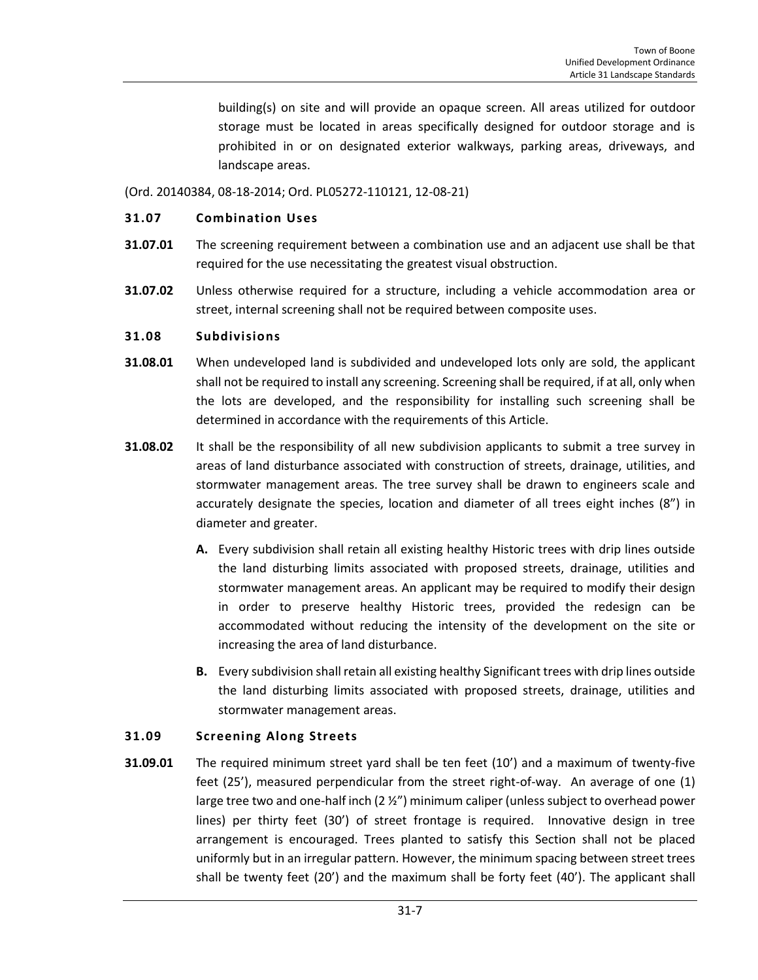building(s) on site and will provide an opaque screen. All areas utilized for outdoor storage must be located in areas specifically designed for outdoor storage and is prohibited in or on designated exterior walkways, parking areas, driveways, and landscape areas.

(Ord. 20140384, 08-18-2014; Ord. PL05272-110121, 12-08-21)

#### <span id="page-6-0"></span>**31.07 Combination Uses**

- **31.07.01** The screening requirement between a combination use and an adjacent use shall be that required for the use necessitating the greatest visual obstruction.
- **31.07.02** Unless otherwise required for a structure, including a vehicle accommodation area or street, internal screening shall not be required between composite uses.

#### <span id="page-6-1"></span>**31.08 Subdivisions**

- **31.08.01** When undeveloped land is subdivided and undeveloped lots only are sold, the applicant shall not be required to install any screening. Screening shall be required, if at all, only when the lots are developed, and the responsibility for installing such screening shall be determined in accordance with the requirements of this Article.
- **31.08.02** It shall be the responsibility of all new subdivision applicants to submit a tree survey in areas of land disturbance associated with construction of streets, drainage, utilities, and stormwater management areas. The tree survey shall be drawn to engineers scale and accurately designate the species, location and diameter of all trees eight inches (8") in diameter and greater.
	- **A.** Every subdivision shall retain all existing healthy Historic trees with drip lines outside the land disturbing limits associated with proposed streets, drainage, utilities and stormwater management areas. An applicant may be required to modify their design in order to preserve healthy Historic trees, provided the redesign can be accommodated without reducing the intensity of the development on the site or increasing the area of land disturbance.
	- **B.** Every subdivision shall retain all existing healthy Significant trees with drip lines outside the land disturbing limits associated with proposed streets, drainage, utilities and stormwater management areas.

#### <span id="page-6-2"></span>**31.09 Screening Along Streets**

**31.09.01** The required minimum street yard shall be ten feet (10') and a maximum of twenty-five feet (25'), measured perpendicular from the street right-of-way. An average of one (1) large tree two and one-half inch (2 ½") minimum caliper (unless subject to overhead power lines) per thirty feet (30') of street frontage is required. Innovative design in tree arrangement is encouraged. Trees planted to satisfy this Section shall not be placed uniformly but in an irregular pattern. However, the minimum spacing between street trees shall be twenty feet (20') and the maximum shall be forty feet (40'). The applicant shall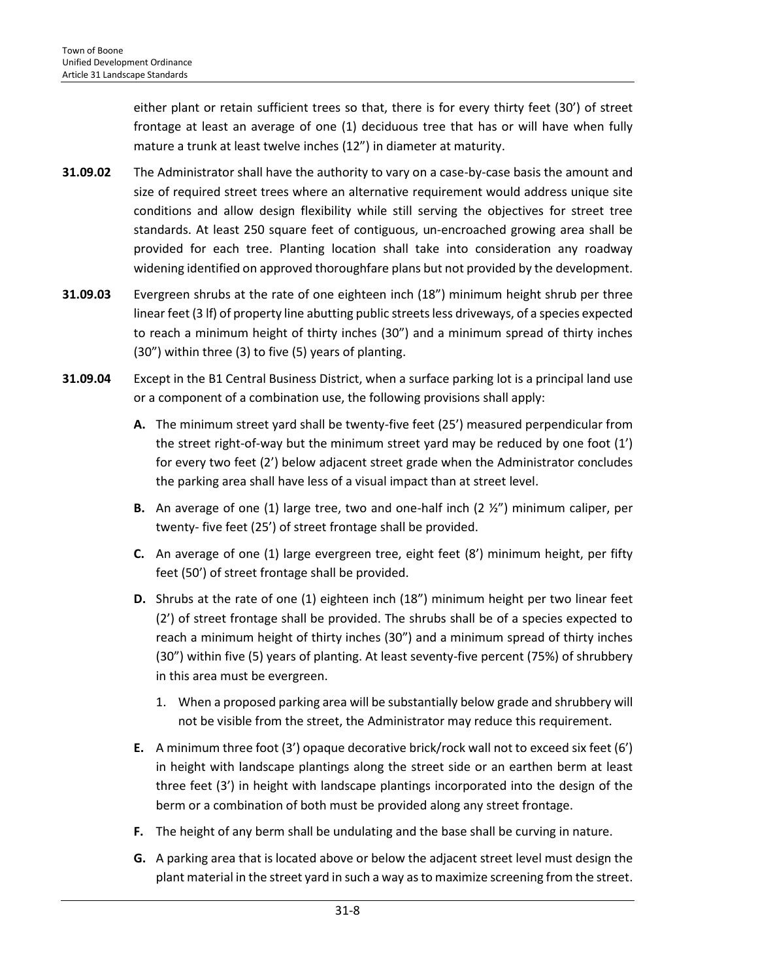either plant or retain sufficient trees so that, there is for every thirty feet (30') of street frontage at least an average of one (1) deciduous tree that has or will have when fully mature a trunk at least twelve inches (12") in diameter at maturity.

- **31.09.02** The Administrator shall have the authority to vary on a case-by-case basis the amount and size of required street trees where an alternative requirement would address unique site conditions and allow design flexibility while still serving the objectives for street tree standards. At least 250 square feet of contiguous, un-encroached growing area shall be provided for each tree. Planting location shall take into consideration any roadway widening identified on approved thoroughfare plans but not provided by the development.
- **31.09.03** Evergreen shrubs at the rate of one eighteen inch (18") minimum height shrub per three linear feet (3 lf) of property line abutting public streets less driveways, of a species expected to reach a minimum height of thirty inches (30") and a minimum spread of thirty inches (30") within three (3) to five (5) years of planting.
- **31.09.04** Except in the B1 Central Business District, when a surface parking lot is a principal land use or a component of a combination use, the following provisions shall apply:
	- **A.** The minimum street yard shall be twenty-five feet (25') measured perpendicular from the street right-of-way but the minimum street yard may be reduced by one foot (1') for every two feet (2') below adjacent street grade when the Administrator concludes the parking area shall have less of a visual impact than at street level.
	- **B.** An average of one (1) large tree, two and one-half inch (2 ½") minimum caliper, per twenty- five feet (25') of street frontage shall be provided.
	- **C.** An average of one (1) large evergreen tree, eight feet (8') minimum height, per fifty feet (50') of street frontage shall be provided.
	- **D.** Shrubs at the rate of one (1) eighteen inch (18") minimum height per two linear feet (2') of street frontage shall be provided. The shrubs shall be of a species expected to reach a minimum height of thirty inches (30") and a minimum spread of thirty inches (30") within five (5) years of planting. At least seventy-five percent (75%) of shrubbery in this area must be evergreen.
		- 1. When a proposed parking area will be substantially below grade and shrubbery will not be visible from the street, the Administrator may reduce this requirement.
	- **E.** A minimum three foot (3') opaque decorative brick/rock wall not to exceed six feet (6') in height with landscape plantings along the street side or an earthen berm at least three feet (3') in height with landscape plantings incorporated into the design of the berm or a combination of both must be provided along any street frontage.
	- **F.** The height of any berm shall be undulating and the base shall be curving in nature.
	- **G.** A parking area that is located above or below the adjacent street level must design the plant material in the street yard in such a way as to maximize screening from the street.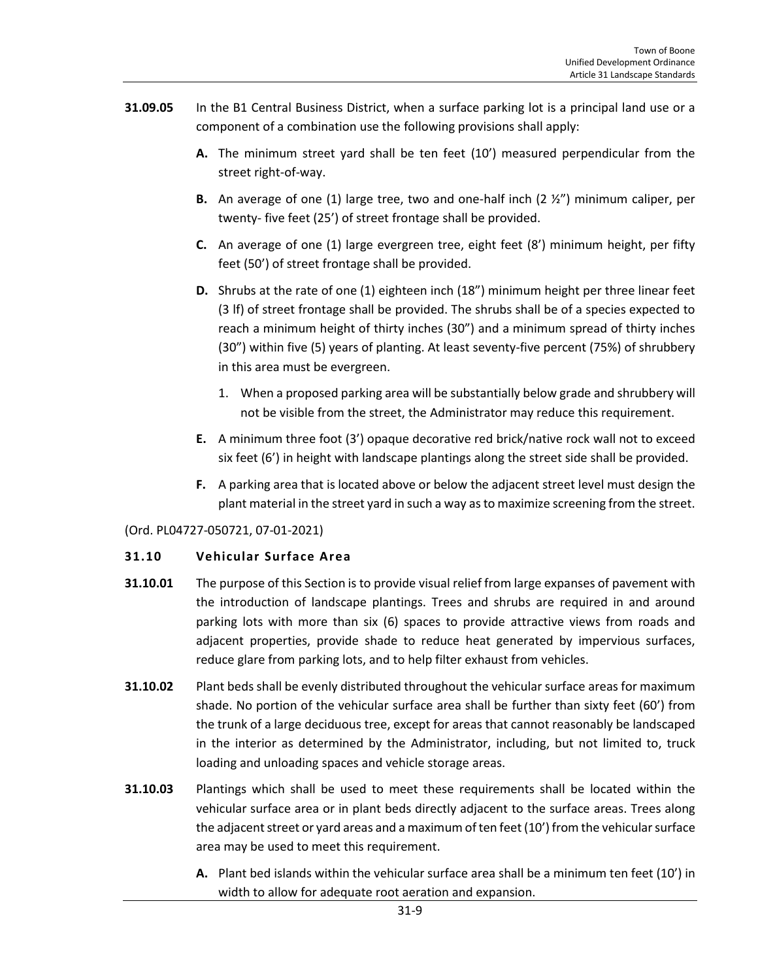- **31.09.05** In the B1 Central Business District, when a surface parking lot is a principal land use or a component of a combination use the following provisions shall apply:
	- **A.** The minimum street yard shall be ten feet (10') measured perpendicular from the street right-of-way.
	- **B.** An average of one (1) large tree, two and one-half inch (2 ½") minimum caliper, per twenty- five feet (25') of street frontage shall be provided.
	- **C.** An average of one (1) large evergreen tree, eight feet (8') minimum height, per fifty feet (50') of street frontage shall be provided.
	- **D.** Shrubs at the rate of one (1) eighteen inch (18") minimum height per three linear feet (3 lf) of street frontage shall be provided. The shrubs shall be of a species expected to reach a minimum height of thirty inches (30") and a minimum spread of thirty inches (30") within five (5) years of planting. At least seventy-five percent (75%) of shrubbery in this area must be evergreen.
		- 1. When a proposed parking area will be substantially below grade and shrubbery will not be visible from the street, the Administrator may reduce this requirement.
	- **E.** A minimum three foot (3') opaque decorative red brick/native rock wall not to exceed six feet (6') in height with landscape plantings along the street side shall be provided.
	- **F.** A parking area that is located above or below the adjacent street level must design the plant material in the street yard in such a way as to maximize screening from the street.

(Ord. PL04727-050721, 07-01-2021)

# <span id="page-8-0"></span>**31.10 Vehicular Surface Area**

- **31.10.01** The purpose of this Section is to provide visual relief from large expanses of pavement with the introduction of landscape plantings. Trees and shrubs are required in and around parking lots with more than six (6) spaces to provide attractive views from roads and adjacent properties, provide shade to reduce heat generated by impervious surfaces, reduce glare from parking lots, and to help filter exhaust from vehicles.
- **31.10.02** Plant beds shall be evenly distributed throughout the vehicular surface areas for maximum shade. No portion of the vehicular surface area shall be further than sixty feet (60') from the trunk of a large deciduous tree, except for areas that cannot reasonably be landscaped in the interior as determined by the Administrator, including, but not limited to, truck loading and unloading spaces and vehicle storage areas.
- **31.10.03** Plantings which shall be used to meet these requirements shall be located within the vehicular surface area or in plant beds directly adjacent to the surface areas. Trees along the adjacent street or yard areas and a maximum of ten feet (10') from the vehicular surface area may be used to meet this requirement.
	- **A.** Plant bed islands within the vehicular surface area shall be a minimum ten feet (10') in width to allow for adequate root aeration and expansion.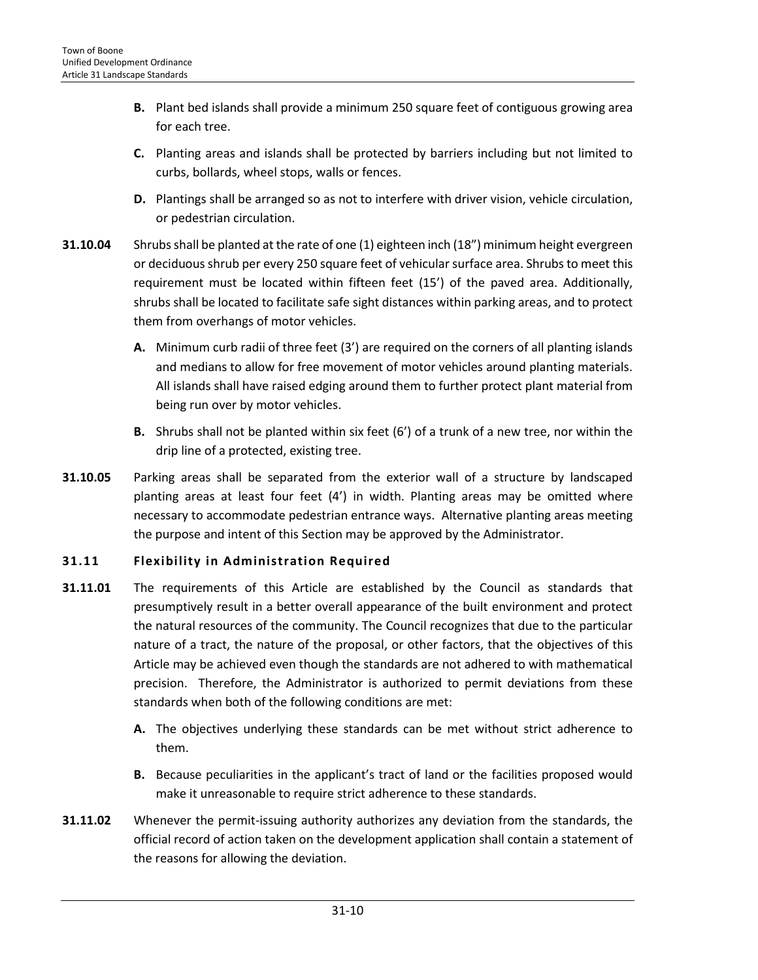- **B.** Plant bed islands shall provide a minimum 250 square feet of contiguous growing area for each tree.
- **C.** Planting areas and islands shall be protected by barriers including but not limited to curbs, bollards, wheel stops, walls or fences.
- **D.** Plantings shall be arranged so as not to interfere with driver vision, vehicle circulation, or pedestrian circulation.
- **31.10.04** Shrubs shall be planted at the rate of one (1) eighteen inch (18") minimum height evergreen or deciduous shrub per every 250 square feet of vehicular surface area. Shrubs to meet this requirement must be located within fifteen feet (15') of the paved area. Additionally, shrubs shall be located to facilitate safe sight distances within parking areas, and to protect them from overhangs of motor vehicles.
	- **A.** Minimum curb radii of three feet (3') are required on the corners of all planting islands and medians to allow for free movement of motor vehicles around planting materials. All islands shall have raised edging around them to further protect plant material from being run over by motor vehicles.
	- **B.** Shrubs shall not be planted within six feet (6') of a trunk of a new tree, nor within the drip line of a protected, existing tree.
- **31.10.05** Parking areas shall be separated from the exterior wall of a structure by landscaped planting areas at least four feet (4') in width. Planting areas may be omitted where necessary to accommodate pedestrian entrance ways. Alternative planting areas meeting the purpose and intent of this Section may be approved by the Administrator.

# <span id="page-9-0"></span>**31.11 Flexibility in Administration Required**

- **31.11.01** The requirements of this Article are established by the Council as standards that presumptively result in a better overall appearance of the built environment and protect the natural resources of the community. The Council recognizes that due to the particular nature of a tract, the nature of the proposal, or other factors, that the objectives of this Article may be achieved even though the standards are not adhered to with mathematical precision. Therefore, the Administrator is authorized to permit deviations from these standards when both of the following conditions are met:
	- **A.** The objectives underlying these standards can be met without strict adherence to them.
	- **B.** Because peculiarities in the applicant's tract of land or the facilities proposed would make it unreasonable to require strict adherence to these standards.
- **31.11.02** Whenever the permit-issuing authority authorizes any deviation from the standards, the official record of action taken on the development application shall contain a statement of the reasons for allowing the deviation.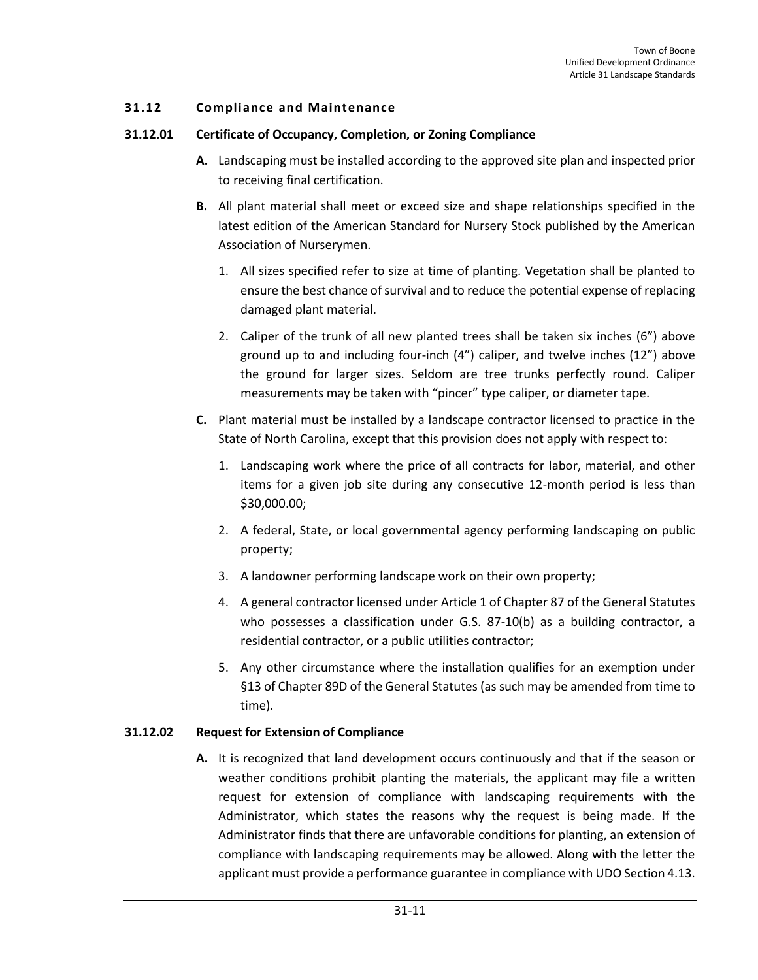#### <span id="page-10-0"></span>**31.12 Compliance and Maintenance**

#### **31.12.01 Certificate of Occupancy, Completion, or Zoning Compliance**

- **A.** Landscaping must be installed according to the approved site plan and inspected prior to receiving final certification.
- **B.** All plant material shall meet or exceed size and shape relationships specified in the latest edition of the American Standard for Nursery Stock published by the American Association of Nurserymen.
	- 1. All sizes specified refer to size at time of planting. Vegetation shall be planted to ensure the best chance of survival and to reduce the potential expense of replacing damaged plant material.
	- 2. Caliper of the trunk of all new planted trees shall be taken six inches (6") above ground up to and including four-inch (4") caliper, and twelve inches (12") above the ground for larger sizes. Seldom are tree trunks perfectly round. Caliper measurements may be taken with "pincer" type caliper, or diameter tape.
- **C.** Plant material must be installed by a landscape contractor licensed to practice in the State of North Carolina, except that this provision does not apply with respect to:
	- 1. Landscaping work where the price of all contracts for labor, material, and other items for a given job site during any consecutive 12-month period is less than \$30,000.00;
	- 2. A federal, State, or local governmental agency performing landscaping on public property;
	- 3. A landowner performing landscape work on their own property;
	- 4. A general contractor licensed under Article 1 of Chapter 87 of the General Statutes who possesses a classification under G.S. 87-10(b) as a building contractor, a residential contractor, or a public utilities contractor;
	- 5. Any other circumstance where the installation qualifies for an exemption under §13 of Chapter 89D of the General Statutes (as such may be amended from time to time).

#### **31.12.02 Request for Extension of Compliance**

**A.** It is recognized that land development occurs continuously and that if the season or weather conditions prohibit planting the materials, the applicant may file a written request for extension of compliance with landscaping requirements with the Administrator, which states the reasons why the request is being made. If the Administrator finds that there are unfavorable conditions for planting, an extension of compliance with landscaping requirements may be allowed. Along with the letter the applicant must provide a performance guarantee in compliance with UDO Section 4.13.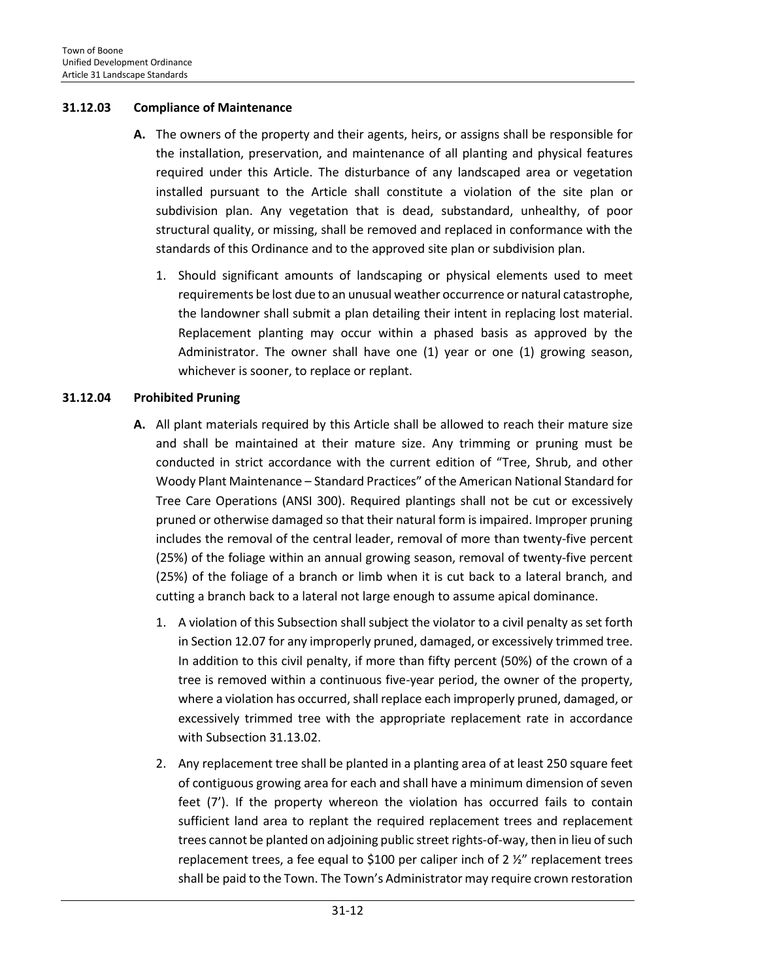# **31.12.03 Compliance of Maintenance**

- **A.** The owners of the property and their agents, heirs, or assigns shall be responsible for the installation, preservation, and maintenance of all planting and physical features required under this Article. The disturbance of any landscaped area or vegetation installed pursuant to the Article shall constitute a violation of the site plan or subdivision plan. Any vegetation that is dead, substandard, unhealthy, of poor structural quality, or missing, shall be removed and replaced in conformance with the standards of this Ordinance and to the approved site plan or subdivision plan.
	- 1. Should significant amounts of landscaping or physical elements used to meet requirements be lost due to an unusual weather occurrence or natural catastrophe, the landowner shall submit a plan detailing their intent in replacing lost material. Replacement planting may occur within a phased basis as approved by the Administrator. The owner shall have one (1) year or one (1) growing season, whichever is sooner, to replace or replant.

#### **31.12.04 Prohibited Pruning**

- **A.** All plant materials required by this Article shall be allowed to reach their mature size and shall be maintained at their mature size. Any trimming or pruning must be conducted in strict accordance with the current edition of "Tree, Shrub, and other Woody Plant Maintenance – Standard Practices" of the American National Standard for Tree Care Operations (ANSI 300). Required plantings shall not be cut or excessively pruned or otherwise damaged so that their natural form is impaired. Improper pruning includes the removal of the central leader, removal of more than twenty-five percent (25%) of the foliage within an annual growing season, removal of twenty-five percent (25%) of the foliage of a branch or limb when it is cut back to a lateral branch, and cutting a branch back to a lateral not large enough to assume apical dominance.
	- 1. A violation of this Subsection shall subject the violator to a civil penalty as set forth in Section 12.07 for any improperly pruned, damaged, or excessively trimmed tree. In addition to this civil penalty, if more than fifty percent (50%) of the crown of a tree is removed within a continuous five-year period, the owner of the property, where a violation has occurred, shall replace each improperly pruned, damaged, or excessively trimmed tree with the appropriate replacement rate in accordance with Subsection 31.13.02.
	- 2. Any replacement tree shall be planted in a planting area of at least 250 square feet of contiguous growing area for each and shall have a minimum dimension of seven feet (7'). If the property whereon the violation has occurred fails to contain sufficient land area to replant the required replacement trees and replacement trees cannot be planted on adjoining public street rights-of-way, then in lieu of such replacement trees, a fee equal to \$100 per caliper inch of 2  $\frac{1}{2}$ " replacement trees shall be paid to the Town. The Town's Administrator may require crown restoration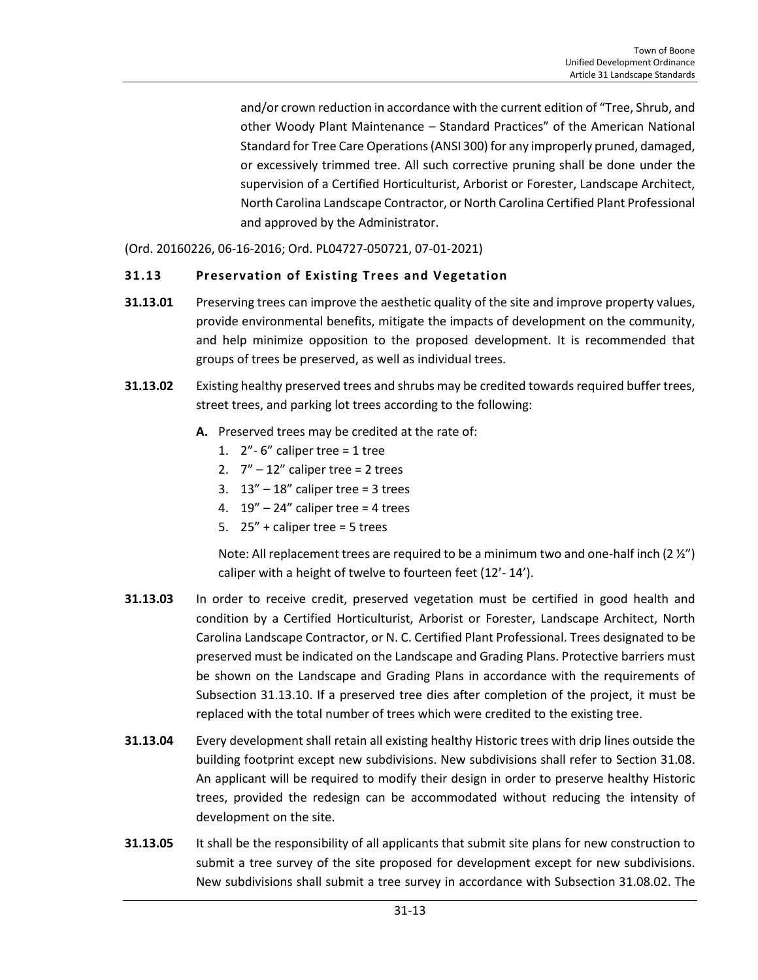and/or crown reduction in accordance with the current edition of "Tree, Shrub, and other Woody Plant Maintenance – Standard Practices" of the American National Standard for Tree Care Operations (ANSI 300) for any improperly pruned, damaged, or excessively trimmed tree. All such corrective pruning shall be done under the supervision of a Certified Horticulturist, Arborist or Forester, Landscape Architect, North Carolina Landscape Contractor, or North Carolina Certified Plant Professional and approved by the Administrator.

(Ord. 20160226, 06-16-2016; Ord. PL04727-050721, 07-01-2021)

# <span id="page-12-0"></span>**31.13 Preservation of Existing Trees and Vegetation**

- **31.13.01** Preserving trees can improve the aesthetic quality of the site and improve property values, provide environmental benefits, mitigate the impacts of development on the community, and help minimize opposition to the proposed development. It is recommended that groups of trees be preserved, as well as individual trees.
- **31.13.02** Existing healthy preserved trees and shrubs may be credited towards required buffer trees, street trees, and parking lot trees according to the following:
	- **A.** Preserved trees may be credited at the rate of:
		- 1.  $2" 6"$  caliper tree = 1 tree
		- 2.  $7'' 12''$  caliper tree = 2 trees
		- 3.  $13'' 18''$  caliper tree = 3 trees
		- 4.  $19'' 24''$  caliper tree = 4 trees
		- 5. 25" + caliper tree = 5 trees

Note: All replacement trees are required to be a minimum two and one-half inch  $(2 \frac{1}{2})$ caliper with a height of twelve to fourteen feet (12'- 14').

- **31.13.03** In order to receive credit, preserved vegetation must be certified in good health and condition by a Certified Horticulturist, Arborist or Forester, Landscape Architect, North Carolina Landscape Contractor, or N. C. Certified Plant Professional. Trees designated to be preserved must be indicated on the Landscape and Grading Plans. Protective barriers must be shown on the Landscape and Grading Plans in accordance with the requirements of Subsection 31.13.10. If a preserved tree dies after completion of the project, it must be replaced with the total number of trees which were credited to the existing tree.
- **31.13.04** Every development shall retain all existing healthy Historic trees with drip lines outside the building footprint except new subdivisions. New subdivisions shall refer to Section 31.08. An applicant will be required to modify their design in order to preserve healthy Historic trees, provided the redesign can be accommodated without reducing the intensity of development on the site.
- **31.13.05** It shall be the responsibility of all applicants that submit site plans for new construction to submit a tree survey of the site proposed for development except for new subdivisions. New subdivisions shall submit a tree survey in accordance with Subsection 31.08.02. The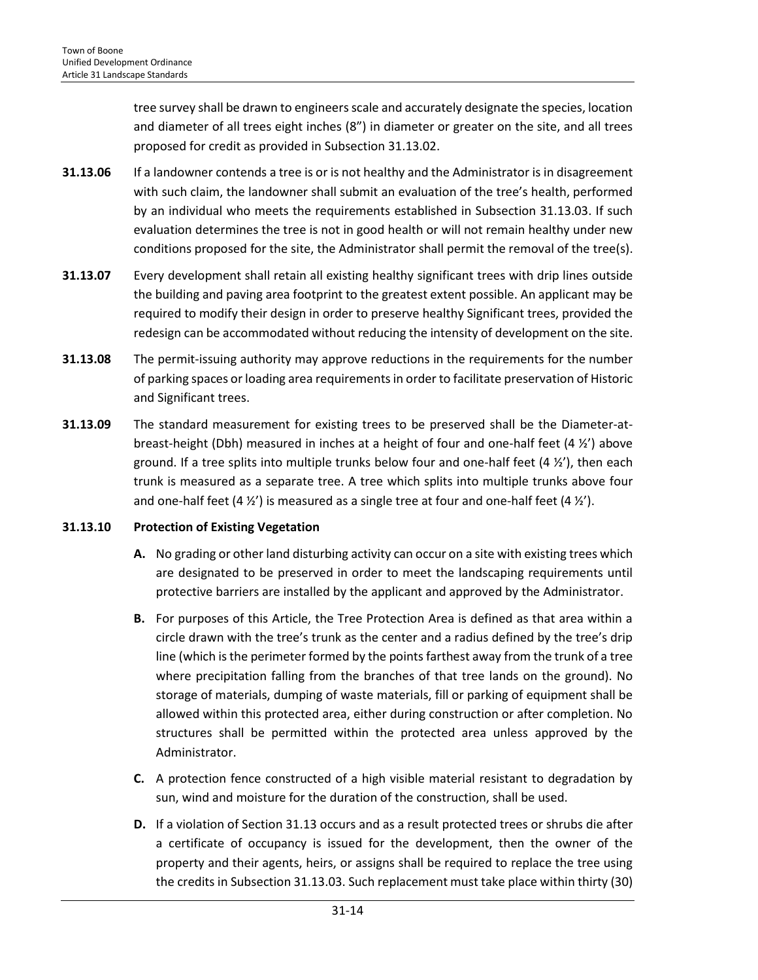tree survey shall be drawn to engineers scale and accurately designate the species, location and diameter of all trees eight inches (8") in diameter or greater on the site, and all trees proposed for credit as provided in Subsection 31.13.02.

- **31.13.06** If a landowner contends a tree is or is not healthy and the Administrator is in disagreement with such claim, the landowner shall submit an evaluation of the tree's health, performed by an individual who meets the requirements established in Subsection 31.13.03. If such evaluation determines the tree is not in good health or will not remain healthy under new conditions proposed for the site, the Administrator shall permit the removal of the tree(s).
- **31.13.07** Every development shall retain all existing healthy significant trees with drip lines outside the building and paving area footprint to the greatest extent possible. An applicant may be required to modify their design in order to preserve healthy Significant trees, provided the redesign can be accommodated without reducing the intensity of development on the site.
- **31.13.08** The permit-issuing authority may approve reductions in the requirements for the number of parking spaces or loading area requirements in order to facilitate preservation of Historic and Significant trees.
- **31.13.09** The standard measurement for existing trees to be preserved shall be the Diameter-atbreast-height (Dbh) measured in inches at a height of four and one-half feet (4 ½') above ground. If a tree splits into multiple trunks below four and one-half feet  $(4 \frac{1}{2})$ , then each trunk is measured as a separate tree. A tree which splits into multiple trunks above four and one-half feet (4  $\frac{1}{2}$ ) is measured as a single tree at four and one-half feet (4  $\frac{1}{2}$ ).

# **31.13.10 Protection of Existing Vegetation**

- **A.** No grading or other land disturbing activity can occur on a site with existing trees which are designated to be preserved in order to meet the landscaping requirements until protective barriers are installed by the applicant and approved by the Administrator.
- **B.** For purposes of this Article, the Tree Protection Area is defined as that area within a circle drawn with the tree's trunk as the center and a radius defined by the tree's drip line (which is the perimeter formed by the points farthest away from the trunk of a tree where precipitation falling from the branches of that tree lands on the ground). No storage of materials, dumping of waste materials, fill or parking of equipment shall be allowed within this protected area, either during construction or after completion. No structures shall be permitted within the protected area unless approved by the Administrator.
- **C.** A protection fence constructed of a high visible material resistant to degradation by sun, wind and moisture for the duration of the construction, shall be used.
- **D.** If a violation of Section 31.13 occurs and as a result protected trees or shrubs die after a certificate of occupancy is issued for the development, then the owner of the property and their agents, heirs, or assigns shall be required to replace the tree using the credits in Subsection 31.13.03. Such replacement must take place within thirty (30)